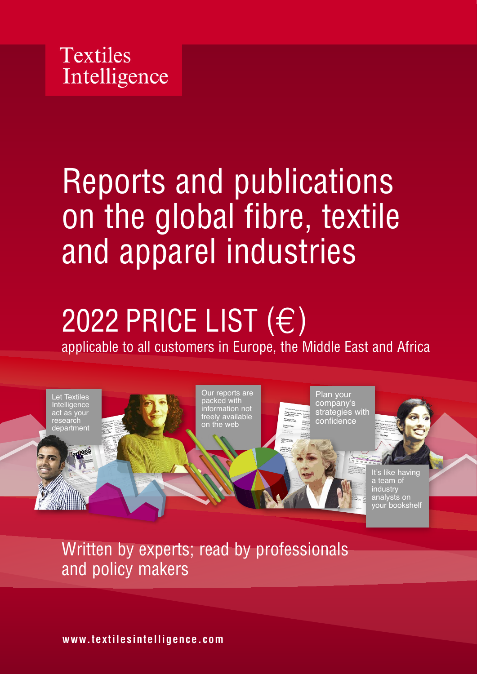

# Reports and publications on the global fibre, textile and apparel industries

# 2022 PRICE LIST  $(E)$ applicable to all customers in Europe, the Middle East and Africa



Written by experts; read by professionals and policy makers

**www.textilesintelligence.com**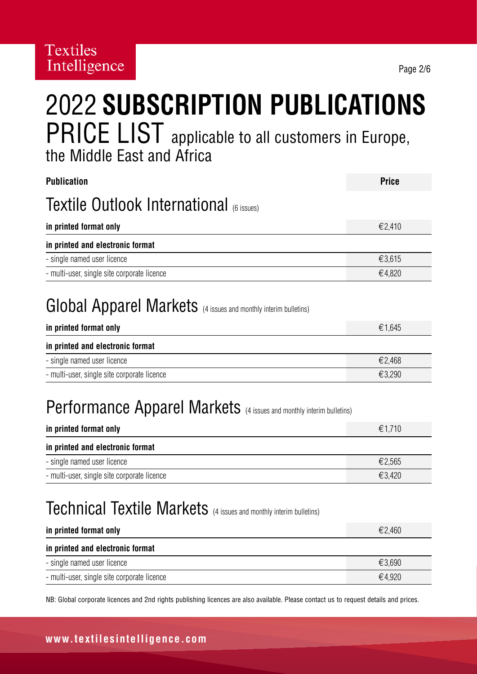## 2022 **SUBSCRIPTION PUBLICATIONS** PRICE LIST applicable to all customers in Europe, the Middle East and Africa

| <b>Publication</b>                                                                                    | <b>Price</b> |
|-------------------------------------------------------------------------------------------------------|--------------|
| Textile Outlook International (6 issues)                                                              |              |
| in printed format only                                                                                | €2,410       |
| in printed and electronic format                                                                      |              |
| - single named user licence                                                                           | €3,615       |
| - multi-user, single site corporate licence                                                           | €4,820       |
| <b>Global Apparel Markets</b> (4 issues and monthly interim bulletins)<br>in printed format only      | €1,645       |
| in printed and electronic format                                                                      |              |
| - single named user licence                                                                           | €2,468       |
| - multi-user, single site corporate licence                                                           | €3,290       |
| <b>Performance Apparel Markets</b> (4 issues and monthly interim bulletins)<br>in printed format only | €1,710       |
| in printed and electronic format                                                                      |              |
| - single named user licence                                                                           | €2,565       |
| - multi-user, single site corporate licence                                                           | €3,420       |

## Technical Textile Markets (4 issues and monthly interim bulletins)

| in printed format only                      | €2,460 |
|---------------------------------------------|--------|
| in printed and electronic format            |        |
| - single named user licence                 | €3.690 |
| - multi-user, single site corporate licence | €4.920 |

NB: Global corporate licences and 2nd rights publishing licences are also available. Please contact us to request details and prices.

#### **www.textilesintelligence.com**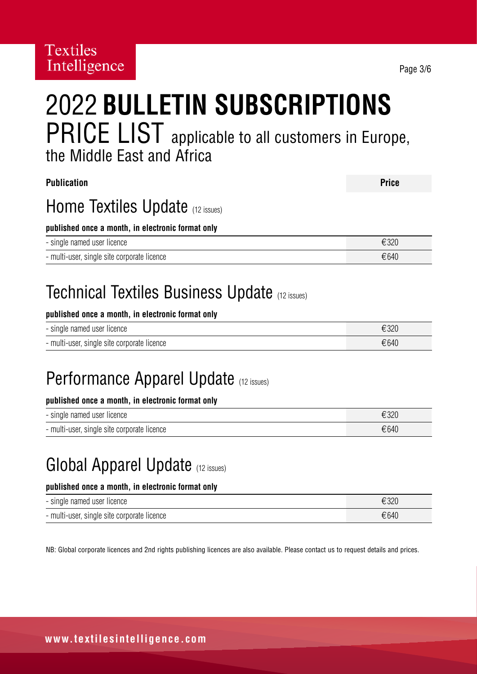# 2022 **BULLETIN SUBSCRIPTIONS** PRICE LIST applicable to all customers in Europe, the Middle East and Africa

| <b>Publication</b>                                              | <b>Price</b> |
|-----------------------------------------------------------------|--------------|
| Home Textiles Update (12 issues)                                |              |
| published once a month, in electronic format only               |              |
| - single named user licence                                     | €320         |
| - multi-user, single site corporate licence                     | €640         |
| Tachnical Taytilae Rueinaee Llndata<br><b>Contract Contract</b> |              |

## Technical Textiles Business Update (12 issues)

#### **published once a month, in electronic format only**

| - single named user licence                 | €320 |
|---------------------------------------------|------|
| - multi-user, single site corporate licence | €640 |

## Performance Apparel Update (12 issues)

#### **published once a month, in electronic format only**

| - single named user licence                 | €320 |
|---------------------------------------------|------|
| - multi-user, single site corporate licence | €640 |

### Global Apparel Update (12 issues)

#### **published once a month, in electronic format only**

| - single named user licence                 | €320 |
|---------------------------------------------|------|
| - multi-user, single site corporate licence | €640 |

NB: Global corporate licences and 2nd rights publishing licences are also available. Please contact us to request details and prices.

Page 3/6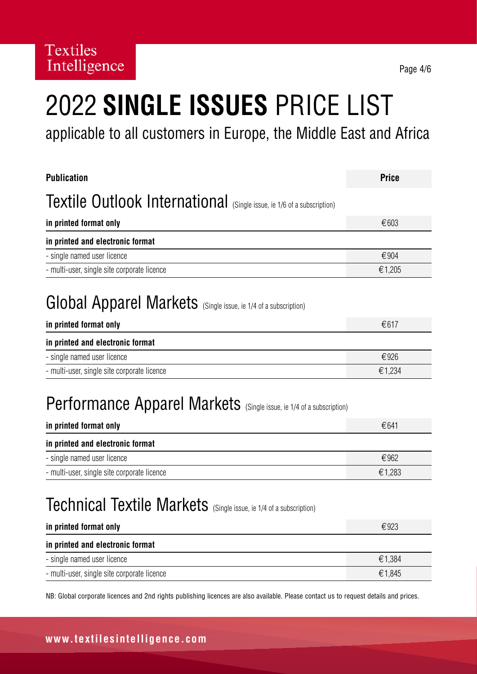# 2022 **SINGLE ISSUES** PRICE LIST

applicable to all customers in Europe, the Middle East and Africa

| <b>Publication</b>                                                            | <b>Price</b> |
|-------------------------------------------------------------------------------|--------------|
| <b>Textile Outlook International</b> (Single issue, ie 1/6 of a subscription) |              |
| in printed format only                                                        | €603         |
| in printed and electronic format                                              |              |
| - single named user licence                                                   | €904         |
| - multi-user, single site corporate licence                                   | €1,205       |
| <b>Global Apparel Markets</b> (Single issue, ie 1/4 of a subscription)        |              |
| in printed format only                                                        | €617         |
|                                                                               |              |
| in printed and electronic format                                              |              |
| - single named user licence                                                   | €926         |
| - multi-user, single site corporate licence                                   | €1,234       |
| <b>Performance Apparel Markets</b> (Single issue, ie 1/4 of a subscription)   |              |
| in printed format only                                                        | €641         |
| in printed and electronic format                                              |              |
| - single named user licence                                                   | €962         |
| - multi-user, single site corporate licence                                   | €1,283       |
| Technical Textile Markets (Single issue, ie 1/4 of a subscription)            |              |
| in printed format only                                                        | €923         |
| in printed and electronic format                                              |              |
| - single named user licence                                                   | €1,384       |

NB: Global corporate licences and 2nd rights publishing licences are also available. Please contact us to request details and prices.

### **www.textilesintelligence.com**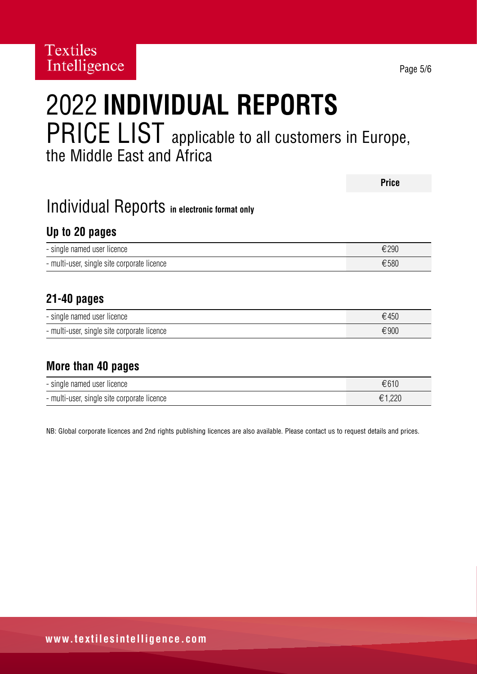## 2022 **INDIVIDUAL REPORTS**  PRICE LIST applicable to all customers in Europe, the Middle East and Africa

|                                              | <b>Price</b> |
|----------------------------------------------|--------------|
| Individual Reports in electronic format only |              |
| Up to 20 pages                               |              |
| - single named user licence                  | €290         |
| - multi-user, single site corporate licence  | €580         |
|                                              |              |
| $21 - 40$ pages                              |              |
| - single named user licence                  | €450         |
| - multi-user, single site corporate licence  | €900         |
|                                              |              |
| More than 40 pages                           |              |
| - single named user licence                  | €610         |

NB: Global corporate licences and 2nd rights publishing licences are also available. Please contact us to request details and prices.

- multi-user, single site corporate licence €1,220